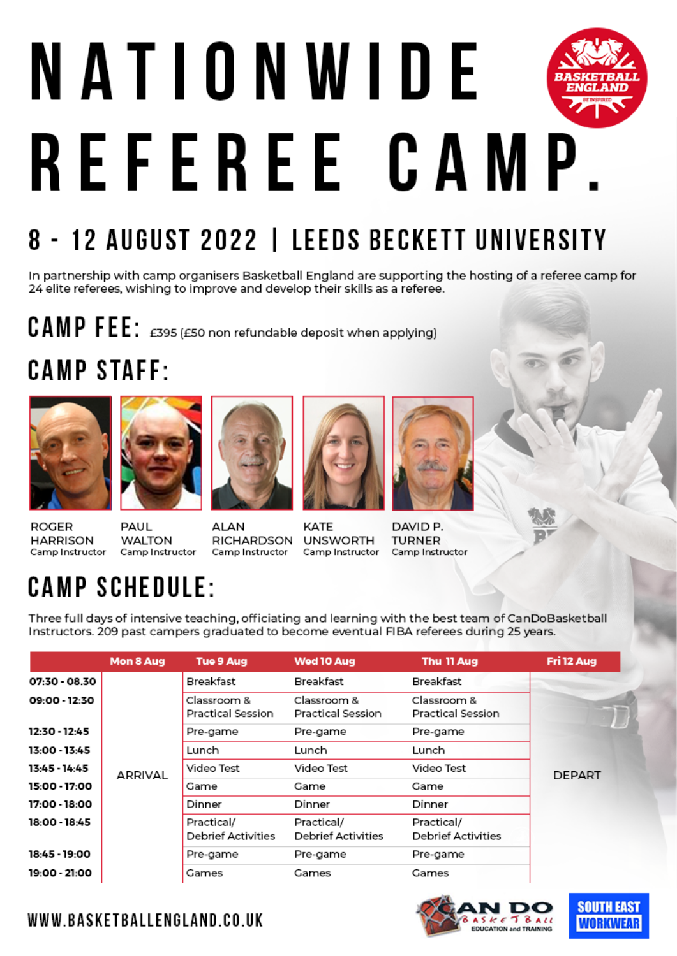# NATIONWIDE REFEREE CAMP.

### 8 - 12 AUGUST 2022 | LEEDS BECKETT UNIVERSITY

In partnership with camp organisers Basketball England are supporting the hosting of a referee camp for 24 elite referees, wishing to improve and develop their skills as a referee.

 $C$  AMP FEE:  $\epsilon$ 395 ( $\epsilon$ 50 non refundable deposit when applying)

#### **CAMP STAFF:**



**ROGER** 

**HARRISON** 





RICHARDSON



KATE **UNSWORTH** 



DAVID P. **TURNER** Camp Instructor Camp Instructor

Camp Instructor

#### Camp Instructor Camp Instructor **CAMP SCHEDULE:**

**WALTON** 

Three full days of intensive teaching, officiating and learning with the best team of CanDoBasketball Instructors. 209 past campers graduated to become eventual FIBA referees during 25 years.

|               | Mon 8 Aug | <b>Tue 9 Aug</b>                        | Wed 10 Aug                              | Thu 11 Aug                       | Fri 12 Aug    |
|---------------|-----------|-----------------------------------------|-----------------------------------------|----------------------------------|---------------|
| 07:30 - 08.30 | ARRIVAL   | Breakfast                               | Breakfast                               | Breakfast                        | <b>DEPART</b> |
| 09:00 - 12:30 |           | Classroom &<br>Practical Session        | Classroom &<br><b>Practical Session</b> | Classroom &<br>Practical Session |               |
| 12:30 - 12:45 |           | Pre-game                                | Pre-game                                | Pre-game                         |               |
| 13:00 - 13:45 |           | Lunch                                   | Lunch                                   | Lunch                            |               |
| 13:45 - 14:45 |           | Video Test                              | Video Test                              | Video Test                       |               |
| 15:00 - 17:00 |           | Game                                    | Game                                    | Game                             |               |
| 17:00 - 18:00 |           | Dinner                                  | Dinner                                  | Dinner                           |               |
| 18:00 - 18:45 |           | Practical/<br><b>Debrief Activities</b> | Practical/<br><b>Debrief Activities</b> | Practical/<br>Debrief Activities |               |
| 18:45 - 19:00 |           | Pre-game                                | Pre-game                                | Pre-game                         |               |
| 19:00 - 21:00 |           | Games                                   | Games                                   | Games                            |               |





WWW.BASKETBALLENGLAND.CO.UK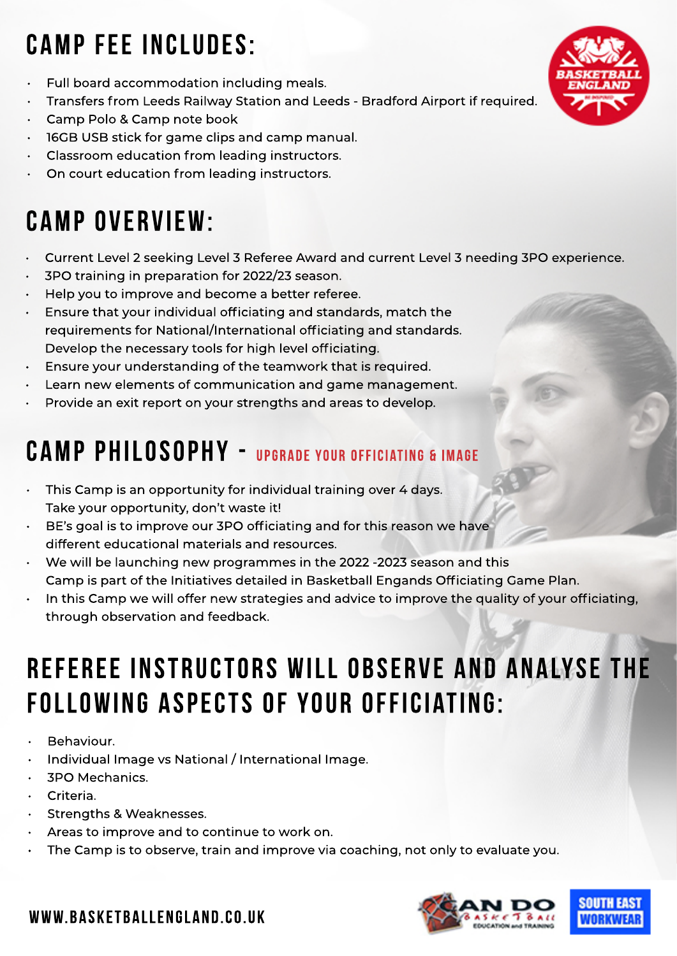#### **CAMP fee includes:**

- Full board accommodation including meals.
- Transfers from Leeds Railway Station and Leeds Bradford Airport if required.
- Camp Polo & Camp note book
- 16GB USB stick for game clips and camp manual.
- Classroom education from leading instructors.
- On court education from leading instructors.

#### **Camp Overview:**

- Current Level 2 seeking Level 3 Referee Award and current Level 3 needing 3PO experience.
- 3PO training in preparation for 2022/23 season.
- Help you to improve and become a better referee.
- Ensure that your individual officiating and standards, match the requirements for National/International officiating and standards. Develop the necessary tools for high level officiating.
- Ensure your understanding of the teamwork that is required.
- Learn new elements of communication and game management.
- Provide an exit report on your strengths and areas to develop.

#### **Camp Philosophy - Upgrade your officiating & image**

- This Camp is an opportunity for individual training over 4 days. Take your opportunity, don't waste it!
- BE's goal is to improve our 3PO officiating and for this reason we have different educational materials and resources.
- We will be launching new programmes in the 2022 -2023 season and this Camp is part of the Initiatives detailed in Basketball Engands Officiating Game Plan.
- In this Camp we will offer new strategies and advice to improve the quality of your officiating, through observation and feedback.

#### **Referee Instructors will observe and analyse the following aspects of your officiating:**

- Behaviour.
- Individual Image vs National / International Image.
- 3PO Mechanics.
- Criteria.
- Strengths & Weaknesses.
- Areas to improve and to continue to work on.
- The Camp is to observe, train and improve via coaching, not only to evaluate you.